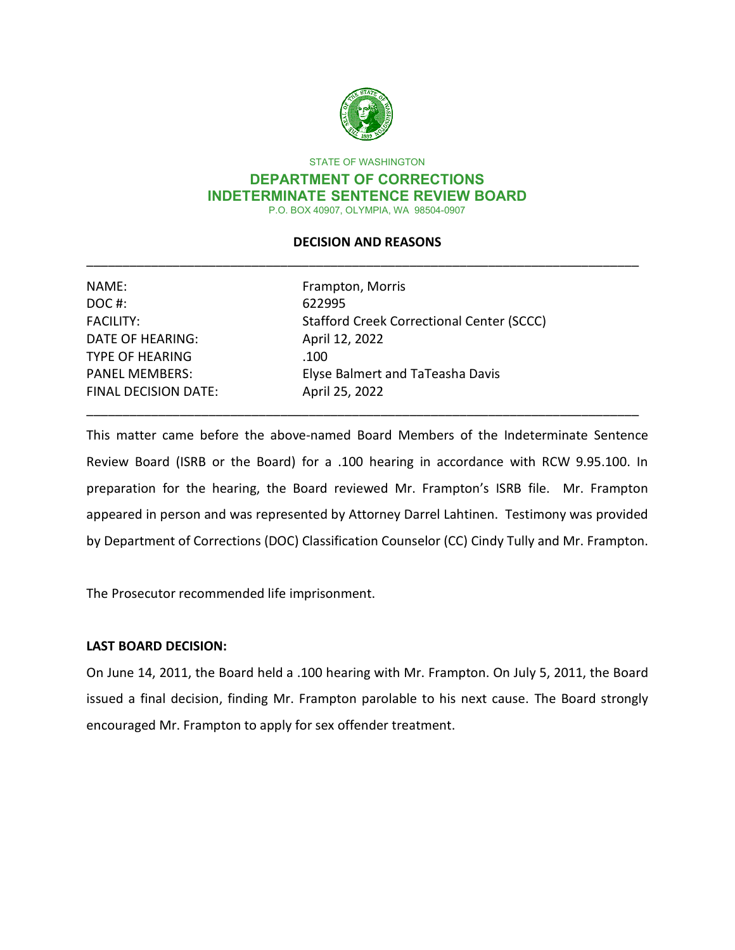

STATE OF WASHINGTON

#### **DEPARTMENT OF CORRECTIONS INDETERMINATE SENTENCE REVIEW BOARD**  P.O. BOX 40907, OLYMPIA, WA 98504-0907

## \_\_\_\_\_\_\_\_\_\_\_\_\_\_\_\_\_\_\_\_\_\_\_\_\_\_\_\_\_\_\_\_\_\_\_\_\_\_\_\_\_\_\_\_\_\_\_\_\_\_\_\_\_\_\_\_\_\_\_\_\_\_\_\_\_\_\_\_\_\_\_\_\_\_\_\_\_ **DECISION AND REASONS**

| NAME:                       | Frampton, Morris                          |  |
|-----------------------------|-------------------------------------------|--|
| DOC#:                       | 622995                                    |  |
| <b>FACILITY:</b>            | Stafford Creek Correctional Center (SCCC) |  |
| <b>DATE OF HEARING:</b>     | April 12, 2022                            |  |
| <b>TYPE OF HEARING</b>      | .100                                      |  |
| <b>PANEL MEMBERS:</b>       | Elyse Balmert and TaTeasha Davis          |  |
| <b>FINAL DECISION DATE:</b> | April 25, 2022                            |  |
|                             |                                           |  |

 preparation for the hearing, the Board reviewed Mr. Frampton's ISRB file. Mr. Frampton appeared in person and was represented by Attorney Darrel Lahtinen. Testimony was provided by Department of Corrections (DOC) Classification Counselor (CC) Cindy Tully and Mr. Frampton. This matter came before the above-named Board Members of the Indeterminate Sentence Review Board (ISRB or the Board) for a .100 hearing in accordance with RCW 9.95.100. In

The Prosecutor recommended life imprisonment.

## **LAST BOARD DECISION:**

On June 14, 2011, the Board held a .100 hearing with Mr. Frampton. On July 5, 2011, the Board issued a final decision, finding Mr. Frampton parolable to his next cause. The Board strongly encouraged Mr. Frampton to apply for sex offender treatment.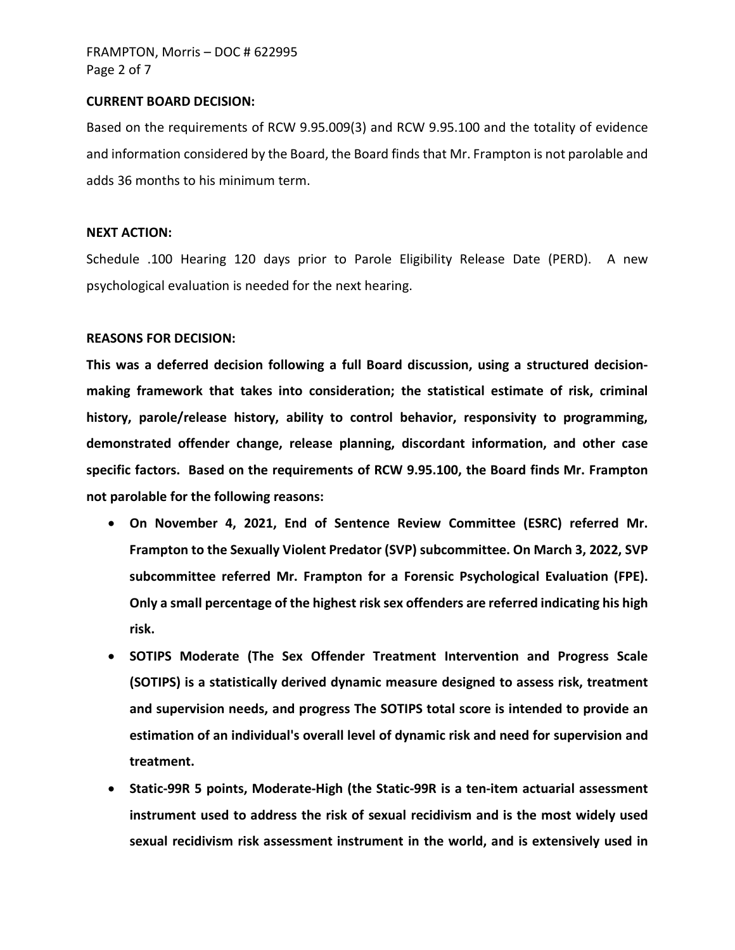#### **CURRENT BOARD DECISION:**

 and information considered by the Board, the Board finds that Mr. Frampton is not parolable and Based on the requirements of RCW 9.95.009(3) and RCW 9.95.100 and the totality of evidence adds 36 months to his minimum term.

#### **NEXT ACTION:**

Schedule .100 Hearing 120 days prior to Parole Eligibility Release Date (PERD). A new psychological evaluation is needed for the next hearing.

## **REASONS FOR DECISION:**

 **specific factors. Based on the requirements of RCW 9.95.100, the Board finds Mr. Frampton not parolable for the following reasons: This was a deferred decision following a full Board discussion, using a structured decisionmaking framework that takes into consideration; the statistical estimate of risk, criminal history, parole/release history, ability to control behavior, responsivity to programming, demonstrated offender change, release planning, discordant information, and other case** 

- **On November 4, 2021, End of Sentence Review Committee (ESRC) referred Mr. Frampton to the Sexually Violent Predator (SVP) subcommittee. On March 3, 2022, SVP subcommittee referred Mr. Frampton for a Forensic Psychological Evaluation (FPE). Only a small percentage of the highest risk sex offenders are referred indicating his high risk.**
- **SOTIPS Moderate (The Sex Offender Treatment Intervention and Progress Scale (SOTIPS) is a statistically derived dynamic measure designed to assess risk, treatment and supervision needs, and progress The SOTIPS total score is intended to provide an estimation of an individual's overall level of dynamic risk and need for supervision and treatment.**
- **Static-99R 5 points, Moderate-High (the Static-99R is a ten-item actuarial assessment instrument used to address the risk of sexual recidivism and is the most widely used sexual recidivism risk assessment instrument in the world, and is extensively used in**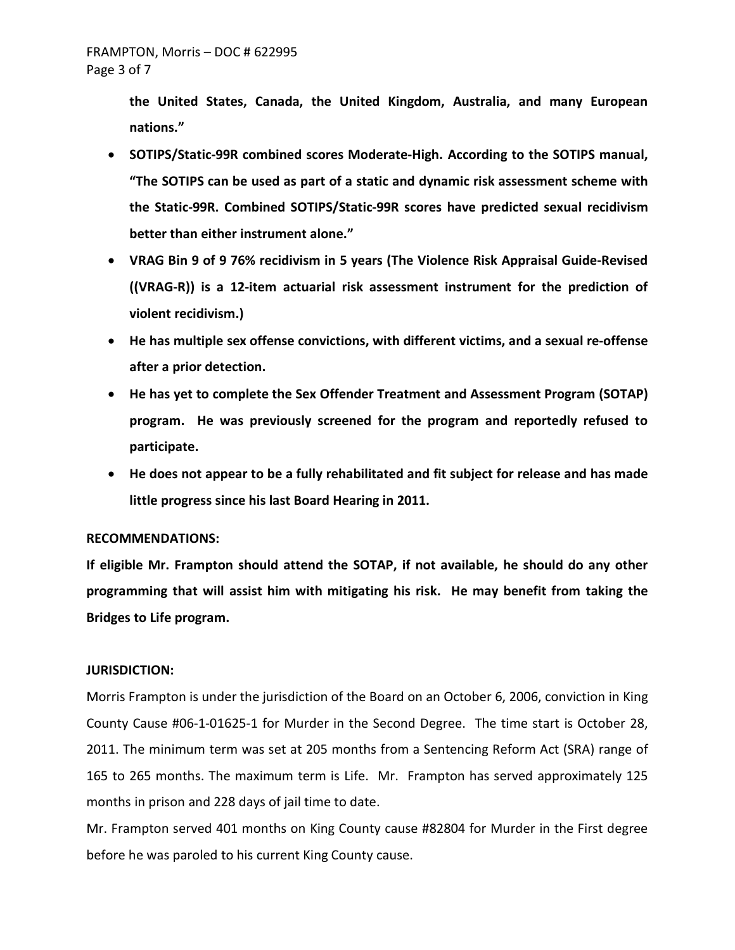**the United States, Canada, the United Kingdom, Australia, and many European nations."** 

- **"The SOTIPS can be used as part of a static and dynamic risk assessment scheme with**  • **SOTIPS/Static-99R combined scores Moderate-High. According to the SOTIPS manual, the Static-99R. Combined SOTIPS/Static-99R scores have predicted sexual recidivism better than either instrument alone."**
- **violent recidivism.)** • **VRAG Bin 9 of 9 76% recidivism in 5 years (The Violence Risk Appraisal Guide-Revised ((VRAG-R)) is a 12-item actuarial risk assessment instrument for the prediction of**
- **He has multiple sex offense convictions, with different victims, and a sexual re-offense after a prior detection.**
- **He has yet to complete the Sex Offender Treatment and Assessment Program (SOTAP) program. He was previously screened for the program and reportedly refused to participate.**
- **He does not appear to be a fully rehabilitated and fit subject for release and has made little progress since his last Board Hearing in 2011.**

#### **RECOMMENDATIONS:**

 **programming that will assist him with mitigating his risk. He may benefit from taking the Bridges to Life program. If eligible Mr. Frampton should attend the SOTAP, if not available, he should do any other** 

#### **JURISDICTION:**

 2011. The minimum term was set at 205 months from a Sentencing Reform Act (SRA) range of 165 to 265 months. The maximum term is Life. Mr. Frampton has served approximately 125 Morris Frampton is under the jurisdiction of the Board on an October 6, 2006, conviction in King County Cause #06-1-01625-1 for Murder in the Second Degree. The time start is October 28, months in prison and 228 days of jail time to date.

 Mr. Frampton served 401 months on King County cause #82804 for Murder in the First degree before he was paroled to his current King County cause.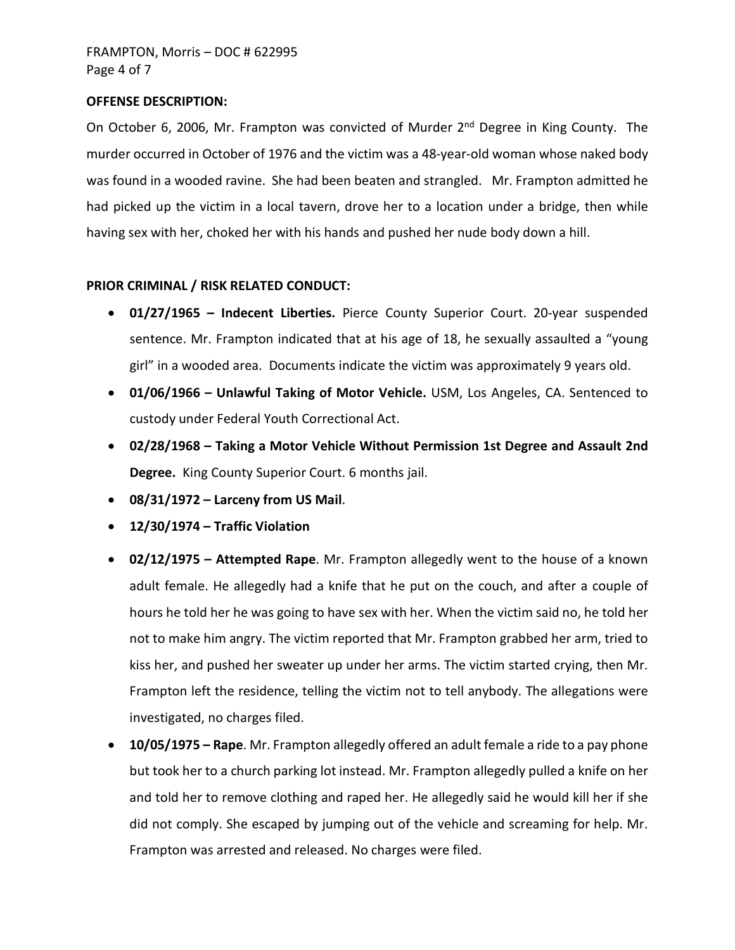## **OFFENSE DESCRIPTION:**

 was found in a wooded ravine. She had been beaten and strangled. Mr. Frampton admitted he had picked up the victim in a local tavern, drove her to a location under a bridge, then while having sex with her, choked her with his hands and pushed her nude body down a hill. On October 6, 2006, Mr. Frampton was convicted of Murder 2<sup>nd</sup> Degree in King County. The murder occurred in October of 1976 and the victim was a 48-year-old woman whose naked body

#### **PRIOR CRIMINAL / RISK RELATED CONDUCT:**

- **01/27/1965 Indecent Liberties.** Pierce County Superior Court. 20-year suspended sentence. Mr. Frampton indicated that at his age of 18, he sexually assaulted a "young girl" in a wooded area. Documents indicate the victim was approximately 9 years old.
- **01/06/1966 Unlawful Taking of Motor Vehicle.** USM, Los Angeles, CA. Sentenced to custody under Federal Youth Correctional Act.
- **02/28/1968 Taking a Motor Vehicle Without Permission 1st Degree and Assault 2nd Degree.** King County Superior Court. 6 months jail.
- **08/31/1972 Larceny from US Mail**.
- **12/30/1974 Traffic Violation**
- • **02/12/1975 Attempted Rape**. Mr. Frampton allegedly went to the house of a known hours he told her he was going to have sex with her. When the victim said no, he told her kiss her, and pushed her sweater up under her arms. The victim started crying, then Mr. adult female. He allegedly had a knife that he put on the couch, and after a couple of not to make him angry. The victim reported that Mr. Frampton grabbed her arm, tried to Frampton left the residence, telling the victim not to tell anybody. The allegations were investigated, no charges filed.
- • **10/05/1975 Rape**. Mr. Frampton allegedly offered an adult female a ride to a pay phone but took her to a church parking lot instead. Mr. Frampton allegedly pulled a knife on her and told her to remove clothing and raped her. He allegedly said he would kill her if she did not comply. She escaped by jumping out of the vehicle and screaming for help. Mr. Frampton was arrested and released. No charges were filed.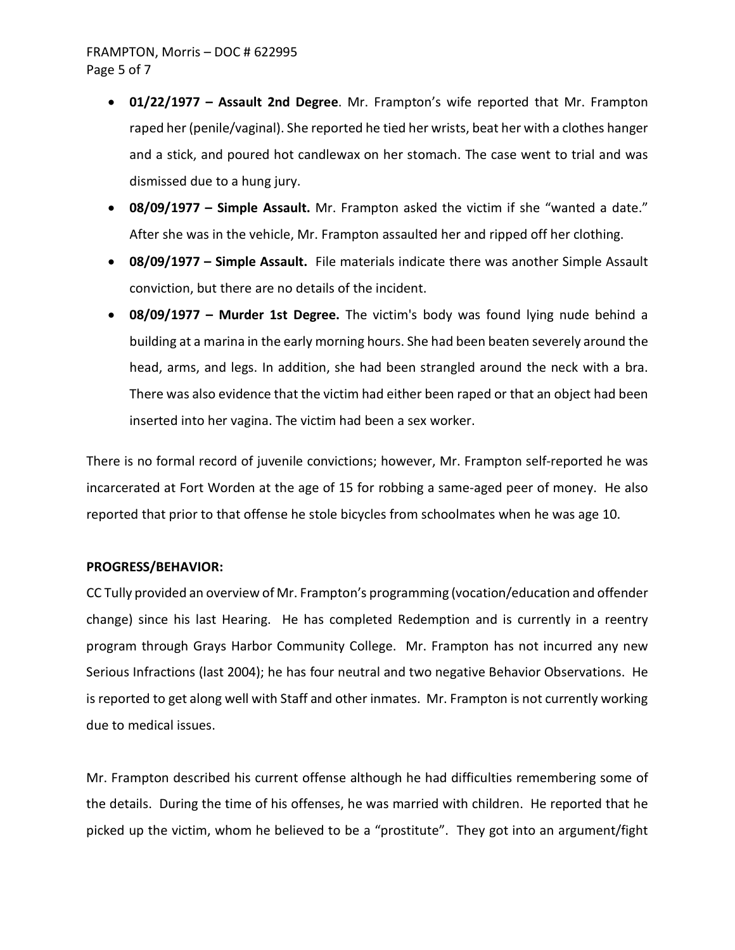# FRAMPTON, Morris – DOC # 622995 Page 5 of 7

- raped her (penile/vaginal). She reported he tied her wrists, beat her with a clothes hanger dismissed due to a hung jury. • **01/22/1977 – Assault 2nd Degree**. Mr. Frampton's wife reported that Mr. Frampton and a stick, and poured hot candlewax on her stomach. The case went to trial and was
- • **08/09/1977 Simple Assault.** Mr. Frampton asked the victim if she "wanted a date." After she was in the vehicle, Mr. Frampton assaulted her and ripped off her clothing.
- • **08/09/1977 Simple Assault.** File materials indicate there was another Simple Assault conviction, but there are no details of the incident.
- head, arms, and legs. In addition, she had been strangled around the neck with a bra. There was also evidence that the victim had either been raped or that an object had been • **08/09/1977 – Murder 1st Degree.** The victim's body was found lying nude behind a building at a marina in the early morning hours. She had been beaten severely around the inserted into her vagina. The victim had been a sex worker.

 There is no formal record of juvenile convictions; however, Mr. Frampton self-reported he was incarcerated at Fort Worden at the age of 15 for robbing a same-aged peer of money. He also reported that prior to that offense he stole bicycles from schoolmates when he was age 10.

#### **PROGRESS/BEHAVIOR:**

 CC Tully provided an overview of Mr. Frampton's programming (vocation/education and offender program through Grays Harbor Community College. Mr. Frampton has not incurred any new due to medical issues. change) since his last Hearing. He has completed Redemption and is currently in a reentry Serious Infractions (last 2004); he has four neutral and two negative Behavior Observations. He is reported to get along well with Staff and other inmates. Mr. Frampton is not currently working

 picked up the victim, whom he believed to be a "prostitute". They got into an argument/fight Mr. Frampton described his current offense although he had difficulties remembering some of the details. During the time of his offenses, he was married with children. He reported that he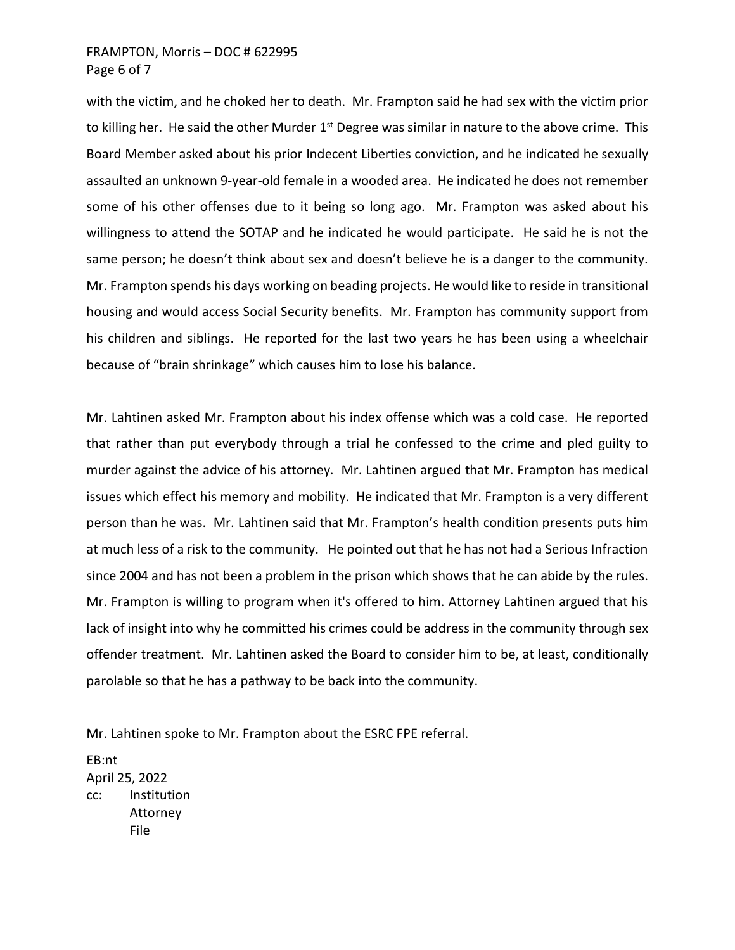## FRAMPTON, Morris – DOC # 622995 Page 6 of 7

to killing her. He said the other Murder 1<sup>st</sup> Degree was similar in nature to the above crime. This Board Member asked about his prior Indecent Liberties conviction, and he indicated he sexually assaulted an unknown 9-year-old female in a wooded area. He indicated he does not remember some of his other offenses due to it being so long ago. Mr. Frampton was asked about his willingness to attend the SOTAP and he indicated he would participate. He said he is not the same person; he doesn't think about sex and doesn't believe he is a danger to the community. housing and would access Social Security benefits. Mr. Frampton has community support from because of "brain shrinkage" which causes him to lose his balance. with the victim, and he choked her to death. Mr. Frampton said he had sex with the victim prior Mr. Frampton spends his days working on beading projects. He would like to reside in transitional his children and siblings. He reported for the last two years he has been using a wheelchair

 Mr. Lahtinen asked Mr. Frampton about his index offense which was a cold case. He reported issues which effect his memory and mobility. He indicated that Mr. Frampton is a very different at much less of a risk to the community. He pointed out that he has not had a Serious Infraction since 2004 and has not been a problem in the prison which shows that he can abide by the rules. Mr. Frampton is willing to program when it's offered to him. Attorney Lahtinen argued that his offender treatment. Mr. Lahtinen asked the Board to consider him to be, at least, conditionally parolable so that he has a pathway to be back into the community. that rather than put everybody through a trial he confessed to the crime and pled guilty to murder against the advice of his attorney. Mr. Lahtinen argued that Mr. Frampton has medical person than he was. Mr. Lahtinen said that Mr. Frampton's health condition presents puts him lack of insight into why he committed his crimes could be address in the community through sex

Mr. Lahtinen spoke to Mr. Frampton about the ESRC FPE referral.

EB:nt April 25, 2022 cc: Institution Attorney File